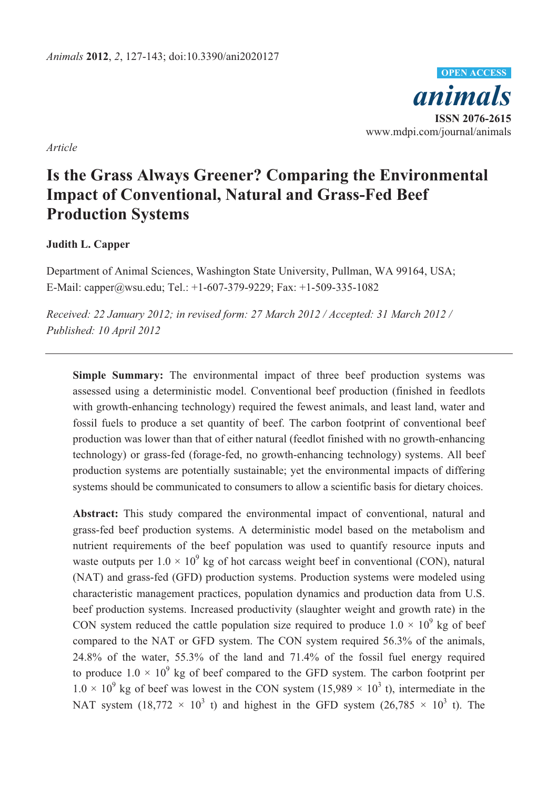

*Article* 

# **Is the Grass Always Greener? Comparing the Environmental Impact of Conventional, Natural and Grass-Fed Beef Production Systems**

# **Judith L. Capper**

Department of Animal Sciences, Washington State University, Pullman, WA 99164, USA; E-Mail: capper@wsu.edu; Tel.: +1-607-379-9229; Fax: +1-509-335-1082

*Received: 22 January 2012; in revised form: 27 March 2012 / Accepted: 31 March 2012 / Published: 10 April 2012*

**Simple Summary:** The environmental impact of three beef production systems was assessed using a deterministic model. Conventional beef production (finished in feedlots with growth-enhancing technology) required the fewest animals, and least land, water and fossil fuels to produce a set quantity of beef. The carbon footprint of conventional beef production was lower than that of either natural (feedlot finished with no growth-enhancing technology) or grass-fed (forage-fed, no growth-enhancing technology) systems. All beef production systems are potentially sustainable; yet the environmental impacts of differing systems should be communicated to consumers to allow a scientific basis for dietary choices.

**Abstract:** This study compared the environmental impact of conventional, natural and grass-fed beef production systems. A deterministic model based on the metabolism and nutrient requirements of the beef population was used to quantify resource inputs and waste outputs per  $1.0 \times 10^9$  kg of hot carcass weight beef in conventional (CON), natural (NAT) and grass-fed (GFD) production systems. Production systems were modeled using characteristic management practices, population dynamics and production data from U.S. beef production systems. Increased productivity (slaughter weight and growth rate) in the CON system reduced the cattle population size required to produce  $1.0 \times 10^9$  kg of beef compared to the NAT or GFD system. The CON system required 56.3% of the animals, 24.8% of the water, 55.3% of the land and 71.4% of the fossil fuel energy required to produce  $1.0 \times 10^9$  kg of beef compared to the GFD system. The carbon footprint per  $1.0 \times 10^{9}$  kg of beef was lowest in the CON system (15,989  $\times$  10<sup>3</sup> t), intermediate in the NAT system (18,772  $\times$  10<sup>3</sup> t) and highest in the GFD system (26,785  $\times$  10<sup>3</sup> t). The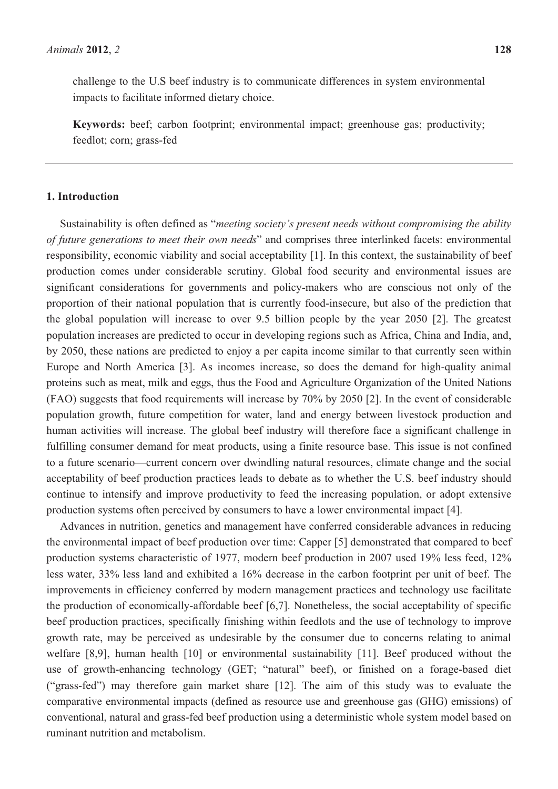challenge to the U.S beef industry is to communicate differences in system environmental impacts to facilitate informed dietary choice.

**Keywords:** beef; carbon footprint; environmental impact; greenhouse gas; productivity; feedlot; corn; grass-fed

## **1. Introduction**

Sustainability is often defined as "*meeting society's present needs without compromising the ability of future generations to meet their own needs*" and comprises three interlinked facets: environmental responsibility, economic viability and social acceptability [1]. In this context, the sustainability of beef production comes under considerable scrutiny. Global food security and environmental issues are significant considerations for governments and policy-makers who are conscious not only of the proportion of their national population that is currently food-insecure, but also of the prediction that the global population will increase to over 9.5 billion people by the year 2050 [2]. The greatest population increases are predicted to occur in developing regions such as Africa, China and India, and, by 2050, these nations are predicted to enjoy a per capita income similar to that currently seen within Europe and North America [3]. As incomes increase, so does the demand for high-quality animal proteins such as meat, milk and eggs, thus the Food and Agriculture Organization of the United Nations (FAO) suggests that food requirements will increase by 70% by 2050 [2]. In the event of considerable population growth, future competition for water, land and energy between livestock production and human activities will increase. The global beef industry will therefore face a significant challenge in fulfilling consumer demand for meat products, using a finite resource base. This issue is not confined to a future scenario—current concern over dwindling natural resources, climate change and the social acceptability of beef production practices leads to debate as to whether the U.S. beef industry should continue to intensify and improve productivity to feed the increasing population, or adopt extensive production systems often perceived by consumers to have a lower environmental impact [4].

Advances in nutrition, genetics and management have conferred considerable advances in reducing the environmental impact of beef production over time: Capper [5] demonstrated that compared to beef production systems characteristic of 1977, modern beef production in 2007 used 19% less feed, 12% less water, 33% less land and exhibited a 16% decrease in the carbon footprint per unit of beef. The improvements in efficiency conferred by modern management practices and technology use facilitate the production of economically-affordable beef [6,7]. Nonetheless, the social acceptability of specific beef production practices, specifically finishing within feedlots and the use of technology to improve growth rate, may be perceived as undesirable by the consumer due to concerns relating to animal welfare [8,9], human health [10] or environmental sustainability [11]. Beef produced without the use of growth-enhancing technology (GET; "natural" beef), or finished on a forage-based diet ("grass-fed") may therefore gain market share [12]. The aim of this study was to evaluate the comparative environmental impacts (defined as resource use and greenhouse gas (GHG) emissions) of conventional, natural and grass-fed beef production using a deterministic whole system model based on ruminant nutrition and metabolism.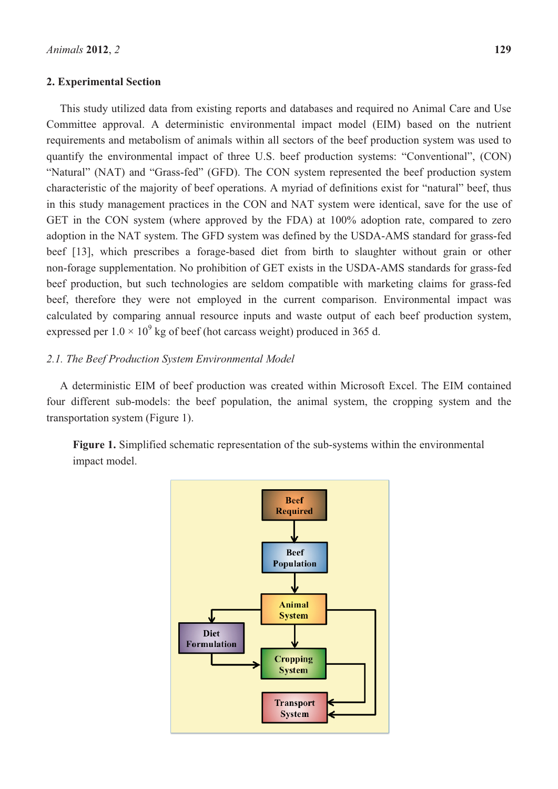## **2. Experimental Section**

This study utilized data from existing reports and databases and required no Animal Care and Use Committee approval. A deterministic environmental impact model (EIM) based on the nutrient requirements and metabolism of animals within all sectors of the beef production system was used to quantify the environmental impact of three U.S. beef production systems: "Conventional", (CON) "Natural" (NAT) and "Grass-fed" (GFD). The CON system represented the beef production system characteristic of the majority of beef operations. A myriad of definitions exist for "natural" beef, thus in this study management practices in the CON and NAT system were identical, save for the use of GET in the CON system (where approved by the FDA) at 100% adoption rate, compared to zero adoption in the NAT system. The GFD system was defined by the USDA-AMS standard for grass-fed beef [13], which prescribes a forage-based diet from birth to slaughter without grain or other non-forage supplementation. No prohibition of GET exists in the USDA-AMS standards for grass-fed beef production, but such technologies are seldom compatible with marketing claims for grass-fed beef, therefore they were not employed in the current comparison. Environmental impact was calculated by comparing annual resource inputs and waste output of each beef production system, expressed per  $1.0 \times 10^9$  kg of beef (hot carcass weight) produced in 365 d.

## *2.1. The Beef Production System Environmental Model*

A deterministic EIM of beef production was created within Microsoft Excel. The EIM contained four different sub-models: the beef population, the animal system, the cropping system and the transportation system (Figure 1).

**Figure 1.** Simplified schematic representation of the sub-systems within the environmental impact model.

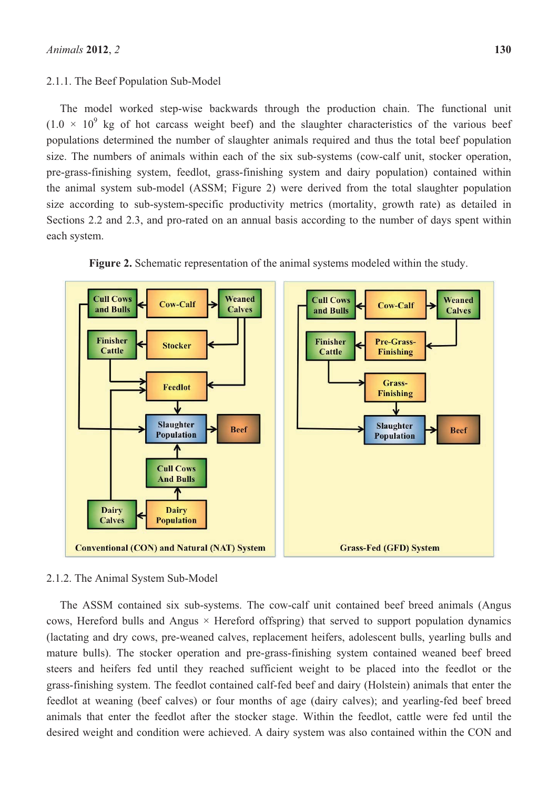#### 2.1.1. The Beef Population Sub-Model

The model worked step-wise backwards through the production chain. The functional unit  $(1.0 \times 10^9)$  kg of hot carcass weight beef) and the slaughter characteristics of the various beef populations determined the number of slaughter animals required and thus the total beef population size. The numbers of animals within each of the six sub-systems (cow-calf unit, stocker operation, pre-grass-finishing system, feedlot, grass-finishing system and dairy population) contained within the animal system sub-model (ASSM; Figure 2) were derived from the total slaughter population size according to sub-system-specific productivity metrics (mortality, growth rate) as detailed in Sections 2.2 and 2.3, and pro-rated on an annual basis according to the number of days spent within each system.





## 2.1.2. The Animal System Sub-Model

The ASSM contained six sub-systems. The cow-calf unit contained beef breed animals (Angus cows, Hereford bulls and Angus  $\times$  Hereford offspring) that served to support population dynamics (lactating and dry cows, pre-weaned calves, replacement heifers, adolescent bulls, yearling bulls and mature bulls). The stocker operation and pre-grass-finishing system contained weaned beef breed steers and heifers fed until they reached sufficient weight to be placed into the feedlot or the grass-finishing system. The feedlot contained calf-fed beef and dairy (Holstein) animals that enter the feedlot at weaning (beef calves) or four months of age (dairy calves); and yearling-fed beef breed animals that enter the feedlot after the stocker stage. Within the feedlot, cattle were fed until the desired weight and condition were achieved. A dairy system was also contained within the CON and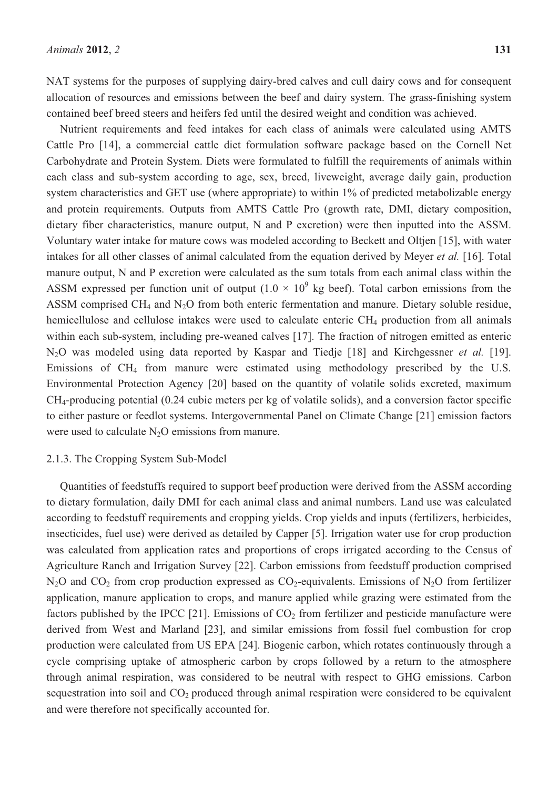NAT systems for the purposes of supplying dairy-bred calves and cull dairy cows and for consequent allocation of resources and emissions between the beef and dairy system. The grass-finishing system contained beef breed steers and heifers fed until the desired weight and condition was achieved.

Nutrient requirements and feed intakes for each class of animals were calculated using AMTS Cattle Pro [14], a commercial cattle diet formulation software package based on the Cornell Net Carbohydrate and Protein System. Diets were formulated to fulfill the requirements of animals within each class and sub-system according to age, sex, breed, liveweight, average daily gain, production system characteristics and GET use (where appropriate) to within 1% of predicted metabolizable energy and protein requirements. Outputs from AMTS Cattle Pro (growth rate, DMI, dietary composition, dietary fiber characteristics, manure output, N and P excretion) were then inputted into the ASSM. Voluntary water intake for mature cows was modeled according to Beckett and Oltjen [15], with water intakes for all other classes of animal calculated from the equation derived by Meyer *et al.* [16]. Total manure output, N and P excretion were calculated as the sum totals from each animal class within the ASSM expressed per function unit of output  $(1.0 \times 10^{9} \text{ kg }$  beef). Total carbon emissions from the ASSM comprised  $CH_4$  and N<sub>2</sub>O from both enteric fermentation and manure. Dietary soluble residue, hemicellulose and cellulose intakes were used to calculate enteric CH<sub>4</sub> production from all animals within each sub-system, including pre-weaned calves [17]. The fraction of nitrogen emitted as enteric N2O was modeled using data reported by Kaspar and Tiedje [18] and Kirchgessner *et al.* [19]. Emissions of CH4 from manure were estimated using methodology prescribed by the U.S. Environmental Protection Agency [20] based on the quantity of volatile solids excreted, maximum CH4-producing potential (0.24 cubic meters per kg of volatile solids), and a conversion factor specific to either pasture or feedlot systems. Intergovernmental Panel on Climate Change [21] emission factors were used to calculate  $N_2O$  emissions from manure.

#### 2.1.3. The Cropping System Sub-Model

Quantities of feedstuffs required to support beef production were derived from the ASSM according to dietary formulation, daily DMI for each animal class and animal numbers. Land use was calculated according to feedstuff requirements and cropping yields. Crop yields and inputs (fertilizers, herbicides, insecticides, fuel use) were derived as detailed by Capper [5]. Irrigation water use for crop production was calculated from application rates and proportions of crops irrigated according to the Census of Agriculture Ranch and Irrigation Survey [22]. Carbon emissions from feedstuff production comprised  $N_2O$  and  $CO_2$  from crop production expressed as  $CO_2$ -equivalents. Emissions of  $N_2O$  from fertilizer application, manure application to crops, and manure applied while grazing were estimated from the factors published by the IPCC [21]. Emissions of  $CO<sub>2</sub>$  from fertilizer and pesticide manufacture were derived from West and Marland [23], and similar emissions from fossil fuel combustion for crop production were calculated from US EPA [24]. Biogenic carbon, which rotates continuously through a cycle comprising uptake of atmospheric carbon by crops followed by a return to the atmosphere through animal respiration, was considered to be neutral with respect to GHG emissions. Carbon sequestration into soil and  $CO<sub>2</sub>$  produced through animal respiration were considered to be equivalent and were therefore not specifically accounted for.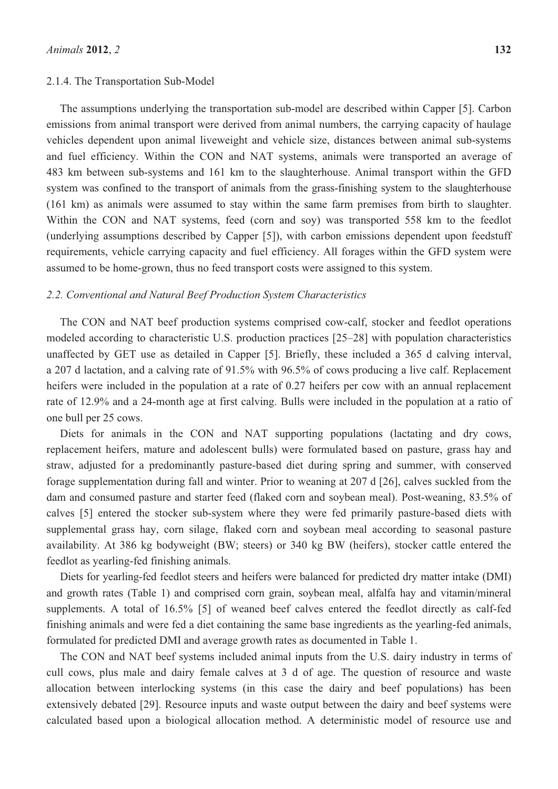#### 2.1.4. The Transportation Sub-Model

The assumptions underlying the transportation sub-model are described within Capper [5]. Carbon emissions from animal transport were derived from animal numbers, the carrying capacity of haulage vehicles dependent upon animal liveweight and vehicle size, distances between animal sub-systems and fuel efficiency. Within the CON and NAT systems, animals were transported an average of 483 km between sub-systems and 161 km to the slaughterhouse. Animal transport within the GFD system was confined to the transport of animals from the grass-finishing system to the slaughterhouse (161 km) as animals were assumed to stay within the same farm premises from birth to slaughter. Within the CON and NAT systems, feed (corn and soy) was transported 558 km to the feedlot (underlying assumptions described by Capper [5]), with carbon emissions dependent upon feedstuff requirements, vehicle carrying capacity and fuel efficiency. All forages within the GFD system were assumed to be home-grown, thus no feed transport costs were assigned to this system.

#### *2.2. Conventional and Natural Beef Production System Characteristics*

The CON and NAT beef production systems comprised cow-calf, stocker and feedlot operations modeled according to characteristic U.S. production practices [25–28] with population characteristics unaffected by GET use as detailed in Capper [5]. Briefly, these included a 365 d calving interval, a 207 d lactation, and a calving rate of 91.5% with 96.5% of cows producing a live calf. Replacement heifers were included in the population at a rate of 0.27 heifers per cow with an annual replacement rate of 12.9% and a 24-month age at first calving. Bulls were included in the population at a ratio of one bull per 25 cows.

Diets for animals in the CON and NAT supporting populations (lactating and dry cows, replacement heifers, mature and adolescent bulls) were formulated based on pasture, grass hay and straw, adjusted for a predominantly pasture-based diet during spring and summer, with conserved forage supplementation during fall and winter. Prior to weaning at 207 d [26], calves suckled from the dam and consumed pasture and starter feed (flaked corn and soybean meal). Post-weaning, 83.5% of calves [5] entered the stocker sub-system where they were fed primarily pasture-based diets with supplemental grass hay, corn silage, flaked corn and soybean meal according to seasonal pasture availability. At 386 kg bodyweight (BW; steers) or 340 kg BW (heifers), stocker cattle entered the feedlot as yearling-fed finishing animals.

Diets for yearling-fed feedlot steers and heifers were balanced for predicted dry matter intake (DMI) and growth rates (Table 1) and comprised corn grain, soybean meal, alfalfa hay and vitamin/mineral supplements. A total of 16.5% [5] of weaned beef calves entered the feedlot directly as calf-fed finishing animals and were fed a diet containing the same base ingredients as the yearling-fed animals, formulated for predicted DMI and average growth rates as documented in Table 1.

The CON and NAT beef systems included animal inputs from the U.S. dairy industry in terms of cull cows, plus male and dairy female calves at 3 d of age. The question of resource and waste allocation between interlocking systems (in this case the dairy and beef populations) has been extensively debated [29]. Resource inputs and waste output between the dairy and beef systems were calculated based upon a biological allocation method. A deterministic model of resource use and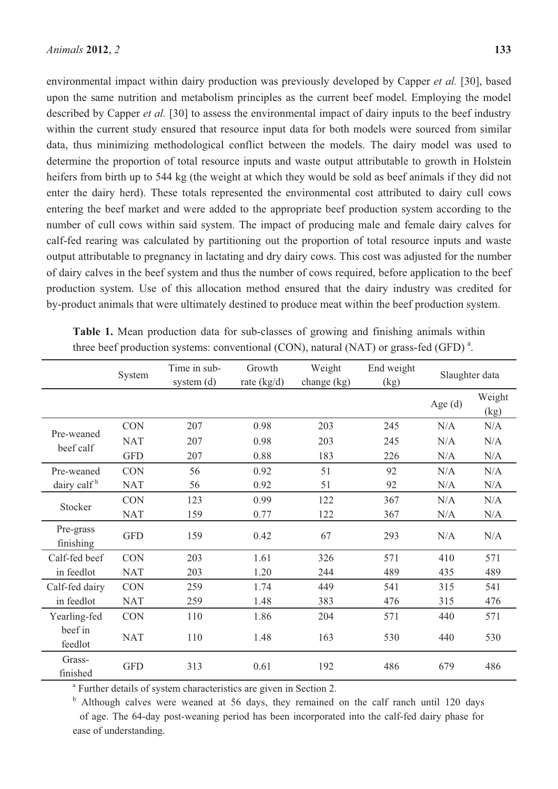environmental impact within dairy production was previously developed by Capper *et al.* [30], based upon the same nutrition and metabolism principles as the current beef model. Employing the model described by Capper *et al.* [30] to assess the environmental impact of dairy inputs to the beef industry within the current study ensured that resource input data for both models were sourced from similar data, thus minimizing methodological conflict between the models. The dairy model was used to determine the proportion of total resource inputs and waste output attributable to growth in Holstein heifers from birth up to 544 kg (the weight at which they would be sold as beef animals if they did not enter the dairy herd). These totals represented the environmental cost attributed to dairy cull cows entering the beef market and were added to the appropriate beef production system according to the number of cull cows within said system. The impact of producing male and female dairy calves for calf-fed rearing was calculated by partitioning out the proportion of total resource inputs and waste output attributable to pregnancy in lactating and dry dairy cows. This cost was adjusted for the number of dairy calves in the beef system and thus the number of cows required, before application to the beef production system. Use of this allocation method ensured that the dairy industry was credited for by-product animals that were ultimately destined to produce meat within the beef production system.

|                         | System     | Time in sub-<br>system (d) | Growth<br>rate $(kg/d)$ | Weight<br>change $(kg)$ | End weight<br>(kg) | Slaughter data |                                       |
|-------------------------|------------|----------------------------|-------------------------|-------------------------|--------------------|----------------|---------------------------------------|
|                         |            |                            |                         |                         |                    | Age $(d)$      | Weight<br>$\left(\frac{kg}{g}\right)$ |
| Pre-weaned<br>beef calf | <b>CON</b> | 207                        | 0.98                    | 203                     | 245                | N/A            | N/A                                   |
|                         | <b>NAT</b> | 207                        | 0.98                    | 203                     | 245                | N/A            | N/A                                   |
|                         | <b>GFD</b> | 207                        | 0.88                    | 183                     | 226                | N/A            | N/A                                   |
| Pre-weaned              | <b>CON</b> | 56                         | 0.92                    | 51                      | 92                 | N/A            | N/A                                   |
| dairy calf <sup>b</sup> | <b>NAT</b> | 56                         | 0.92                    | 51                      | 92                 | N/A            | N/A                                   |
| Stocker                 | <b>CON</b> | 123                        | 0.99                    | 122                     | 367                | N/A            | N/A                                   |
|                         | <b>NAT</b> | 159                        | 0.77                    | 122                     | 367                | N/A            | N/A                                   |
| Pre-grass<br>finishing  | <b>GFD</b> | 159                        | 0.42                    | 67                      | 293                | N/A            | N/A                                   |
| Calf-fed beef           | <b>CON</b> | 203                        | 1.61                    | 326                     | 571                | 410            | 571                                   |
| in feedlot              | <b>NAT</b> | 203                        | 1.20                    | 244                     | 489                | 435            | 489                                   |
| Calf-fed dairy          | <b>CON</b> | 259                        | 1.74                    | 449                     | 541                | 315            | 541                                   |
| in feedlot              | <b>NAT</b> | 259                        | 1.48                    | 383                     | 476                | 315            | 476                                   |
| Yearling-fed            | <b>CON</b> | 110                        | 1.86                    | 204                     | 571                | 440            | 571                                   |
| beef in<br>feedlot      | <b>NAT</b> | 110                        | 1.48                    | 163                     | 530                | 440            | 530                                   |
| Grass-<br>finished      | <b>GFD</b> | 313                        | 0.61                    | 192                     | 486                | 679            | 486                                   |

**Table 1.** Mean production data for sub-classes of growing and finishing animals within three beef production systems: conventional (CON), natural (NAT) or grass-fed (GFD)<sup>a</sup>.

<sup>a</sup> Further details of system characteristics are given in Section 2.

<sup>b</sup> Although calves were weaned at 56 days, they remained on the calf ranch until 120 days of age. The 64-day post-weaning period has been incorporated into the calf-fed dairy phase for ease of understanding.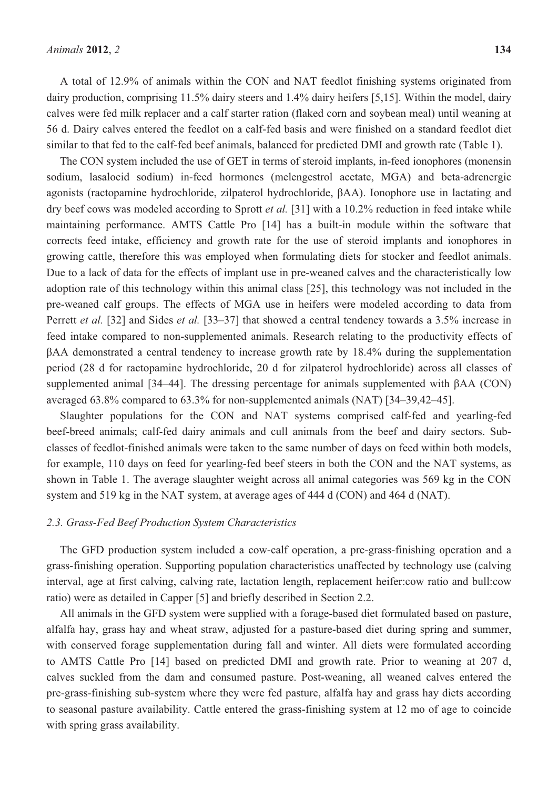A total of 12.9% of animals within the CON and NAT feedlot finishing systems originated from dairy production, comprising 11.5% dairy steers and 1.4% dairy heifers [5,15]. Within the model, dairy calves were fed milk replacer and a calf starter ration (flaked corn and soybean meal) until weaning at 56 d. Dairy calves entered the feedlot on a calf-fed basis and were finished on a standard feedlot diet similar to that fed to the calf-fed beef animals, balanced for predicted DMI and growth rate (Table 1).

The CON system included the use of GET in terms of steroid implants, in-feed ionophores (monensin sodium, lasalocid sodium) in-feed hormones (melengestrol acetate, MGA) and beta-adrenergic agonists (ractopamine hydrochloride, zilpaterol hydrochloride,  $\beta AA$ ). Ionophore use in lactating and dry beef cows was modeled according to Sprott *et al.* [31] with a 10.2% reduction in feed intake while maintaining performance. AMTS Cattle Pro [14] has a built-in module within the software that corrects feed intake, efficiency and growth rate for the use of steroid implants and ionophores in growing cattle, therefore this was employed when formulating diets for stocker and feedlot animals. Due to a lack of data for the effects of implant use in pre-weaned calves and the characteristically low adoption rate of this technology within this animal class [25], this technology was not included in the pre-weaned calf groups. The effects of MGA use in heifers were modeled according to data from Perrett *et al.* [32] and Sides *et al.* [33–37] that showed a central tendency towards a 3.5% increase in feed intake compared to non-supplemented animals. Research relating to the productivity effects of BAA demonstrated a central tendency to increase growth rate by 18.4% during the supplementation period (28 d for ractopamine hydrochloride, 20 d for zilpaterol hydrochloride) across all classes of supplemented animal  $[34–44]$ . The dressing percentage for animals supplemented with  $\beta AA (CON)$ averaged 63.8% compared to 63.3% for non-supplemented animals (NAT) [34–39,42–45].

Slaughter populations for the CON and NAT systems comprised calf-fed and yearling-fed beef-breed animals; calf-fed dairy animals and cull animals from the beef and dairy sectors. Subclasses of feedlot-finished animals were taken to the same number of days on feed within both models, for example, 110 days on feed for yearling-fed beef steers in both the CON and the NAT systems, as shown in Table 1. The average slaughter weight across all animal categories was 569 kg in the CON system and 519 kg in the NAT system, at average ages of 444 d (CON) and 464 d (NAT).

## *2.3. Grass-Fed Beef Production System Characteristics*

The GFD production system included a cow-calf operation, a pre-grass-finishing operation and a grass-finishing operation. Supporting population characteristics unaffected by technology use (calving interval, age at first calving, calving rate, lactation length, replacement heifer:cow ratio and bull:cow ratio) were as detailed in Capper [5] and briefly described in Section 2.2.

All animals in the GFD system were supplied with a forage-based diet formulated based on pasture, alfalfa hay, grass hay and wheat straw, adjusted for a pasture-based diet during spring and summer, with conserved forage supplementation during fall and winter. All diets were formulated according to AMTS Cattle Pro [14] based on predicted DMI and growth rate. Prior to weaning at 207 d, calves suckled from the dam and consumed pasture. Post-weaning, all weaned calves entered the pre-grass-finishing sub-system where they were fed pasture, alfalfa hay and grass hay diets according to seasonal pasture availability. Cattle entered the grass-finishing system at 12 mo of age to coincide with spring grass availability.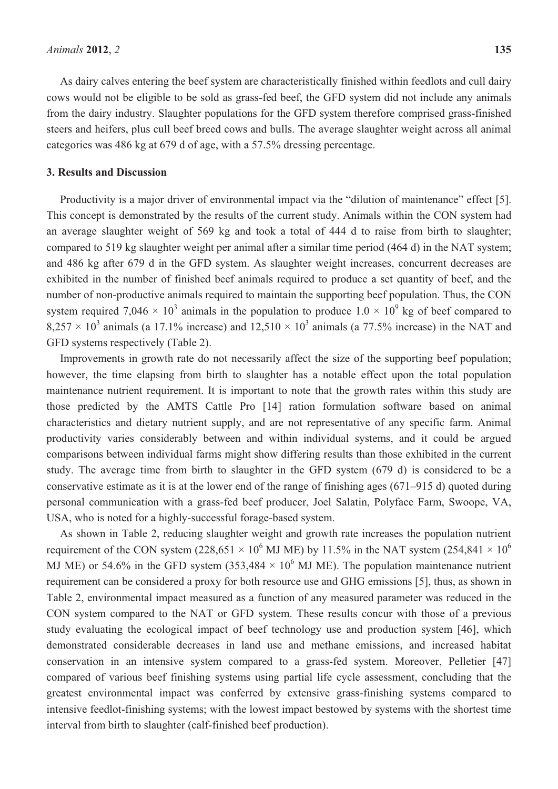As dairy calves entering the beef system are characteristically finished within feedlots and cull dairy cows would not be eligible to be sold as grass-fed beef, the GFD system did not include any animals from the dairy industry. Slaughter populations for the GFD system therefore comprised grass-finished steers and heifers, plus cull beef breed cows and bulls. The average slaughter weight across all animal categories was 486 kg at 679 d of age, with a 57.5% dressing percentage.

#### **3. Results and Discussion**

Productivity is a major driver of environmental impact via the "dilution of maintenance" effect [5]. This concept is demonstrated by the results of the current study. Animals within the CON system had an average slaughter weight of 569 kg and took a total of 444 d to raise from birth to slaughter; compared to 519 kg slaughter weight per animal after a similar time period (464 d) in the NAT system; and 486 kg after 679 d in the GFD system. As slaughter weight increases, concurrent decreases are exhibited in the number of finished beef animals required to produce a set quantity of beef, and the number of non-productive animals required to maintain the supporting beef population. Thus, the CON system required 7,046  $\times$  10<sup>3</sup> animals in the population to produce 1.0  $\times$  10<sup>9</sup> kg of beef compared to 8,257  $\times$  10<sup>3</sup> animals (a 17.1% increase) and 12,510  $\times$  10<sup>3</sup> animals (a 77.5% increase) in the NAT and GFD systems respectively (Table 2).

Improvements in growth rate do not necessarily affect the size of the supporting beef population; however, the time elapsing from birth to slaughter has a notable effect upon the total population maintenance nutrient requirement. It is important to note that the growth rates within this study are those predicted by the AMTS Cattle Pro [14] ration formulation software based on animal characteristics and dietary nutrient supply, and are not representative of any specific farm. Animal productivity varies considerably between and within individual systems, and it could be argued comparisons between individual farms might show differing results than those exhibited in the current study. The average time from birth to slaughter in the GFD system (679 d) is considered to be a conservative estimate as it is at the lower end of the range of finishing ages (671–915 d) quoted during personal communication with a grass-fed beef producer, Joel Salatin, Polyface Farm, Swoope, VA, USA, who is noted for a highly-successful forage-based system.

As shown in Table 2, reducing slaughter weight and growth rate increases the population nutrient requirement of the CON system (228,651  $\times$  10<sup>6</sup> MJ ME) by 11.5% in the NAT system (254,841  $\times$  10<sup>6</sup> MJ ME) or 54.6% in the GFD system (353,484  $\times$  10<sup>6</sup> MJ ME). The population maintenance nutrient requirement can be considered a proxy for both resource use and GHG emissions [5], thus, as shown in Table 2, environmental impact measured as a function of any measured parameter was reduced in the CON system compared to the NAT or GFD system. These results concur with those of a previous study evaluating the ecological impact of beef technology use and production system [46], which demonstrated considerable decreases in land use and methane emissions, and increased habitat conservation in an intensive system compared to a grass-fed system. Moreover, Pelletier [47] compared of various beef finishing systems using partial life cycle assessment, concluding that the greatest environmental impact was conferred by extensive grass-finishing systems compared to intensive feedlot-finishing systems; with the lowest impact bestowed by systems with the shortest time interval from birth to slaughter (calf-finished beef production).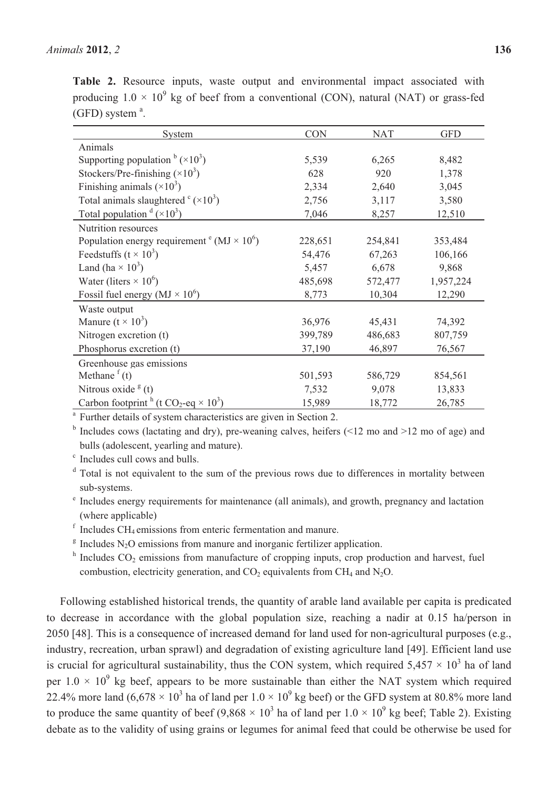**Table 2.** Resource inputs, waste output and environmental impact associated with producing  $1.0 \times 10^9$  kg of beef from a conventional (CON), natural (NAT) or grass-fed  $(GFD)$  system  $a$ .

| System                                                    | <b>CON</b> | <b>NAT</b> | <b>GFD</b> |
|-----------------------------------------------------------|------------|------------|------------|
| Animals                                                   |            |            |            |
| Supporting population $\frac{b}{x}$ (×10 <sup>3</sup> )   | 5,539      | 6,265      | 8,482      |
| Stockers/Pre-finishing $(\times 10^3)$                    | 628        | 920        | 1,378      |
| Finishing animals $(\times 10^3)$                         | 2,334      | 2,640      | 3,045      |
| Total animals slaughtered $\textdegree (\times 10^3)$     | 2,756      | 3,117      | 3,580      |
| Total population $\mathrm{d}(\times 10^3)$                | 7,046      | 8,257      | 12,510     |
| <b>Nutrition resources</b>                                |            |            |            |
| Population energy requirement $\text{° (MJ} \times 10^6)$ | 228,651    | 254,841    | 353,484    |
| Feedstuffs ( $t \times 10^3$ )                            | 54,476     | 67,263     | 106,166    |
| Land (ha $\times$ 10 <sup>3</sup> )                       | 5,457      | 6,678      | 9,868      |
| Water (liters $\times$ 10 <sup>6</sup> )                  | 485,698    | 572,477    | 1,957,224  |
| Fossil fuel energy ( $MJ \times 10^6$ )                   | 8,773      | 10,304     | 12,290     |
| Waste output                                              |            |            |            |
| Manure $(t \times 10^3)$                                  | 36,976     | 45,431     | 74,392     |
| Nitrogen excretion (t)                                    | 399,789    | 486,683    | 807,759    |
| Phosphorus excretion (t)                                  | 37,190     | 46,897     | 76,567     |
| Greenhouse gas emissions                                  |            |            |            |
| Methane $f(t)$                                            | 501,593    | 586,729    | 854,561    |
| Nitrous oxide $g$ (t)                                     | 7,532      | 9,078      | 13,833     |
| Carbon footprint $h(t CO_2 \text{-} eq \times 10^3)$      | 15,989     | 18,772     | 26,785     |

<sup>a</sup> Further details of system characteristics are given in Section 2.

<sup>b</sup> Includes cows (lactating and dry), pre-weaning calves, heifers (<12 mo and >12 mo of age) and bulls (adolescent, yearling and mature).

c Includes cull cows and bulls.

<sup>d</sup> Total is not equivalent to the sum of the previous rows due to differences in mortality between sub-systems.

e Includes energy requirements for maintenance (all animals), and growth, pregnancy and lactation (where applicable)

 $f$  Includes CH<sub>4</sub> emissions from enteric fermentation and manure.

 $\beta$  Includes N<sub>2</sub>O emissions from manure and inorganic fertilizer application.

 $h$  Includes  $CO<sub>2</sub>$  emissions from manufacture of cropping inputs, crop production and harvest, fuel combustion, electricity generation, and  $CO<sub>2</sub>$  equivalents from CH<sub>4</sub> and N<sub>2</sub>O.

Following established historical trends, the quantity of arable land available per capita is predicated to decrease in accordance with the global population size, reaching a nadir at 0.15 ha/person in 2050 [48]. This is a consequence of increased demand for land used for non-agricultural purposes (e.g., industry, recreation, urban sprawl) and degradation of existing agriculture land [49]. Efficient land use is crucial for agricultural sustainability, thus the CON system, which required  $5,457 \times 10^3$  ha of land per  $1.0 \times 10^9$  kg beef, appears to be more sustainable than either the NAT system which required 22.4% more land  $(6.678 \times 10^3$  ha of land per  $1.0 \times 10^9$  kg beef) or the GFD system at 80.8% more land to produce the same quantity of beef  $(9,868 \times 10^3$  ha of land per  $1.0 \times 10^9$  kg beef; Table 2). Existing debate as to the validity of using grains or legumes for animal feed that could be otherwise be used for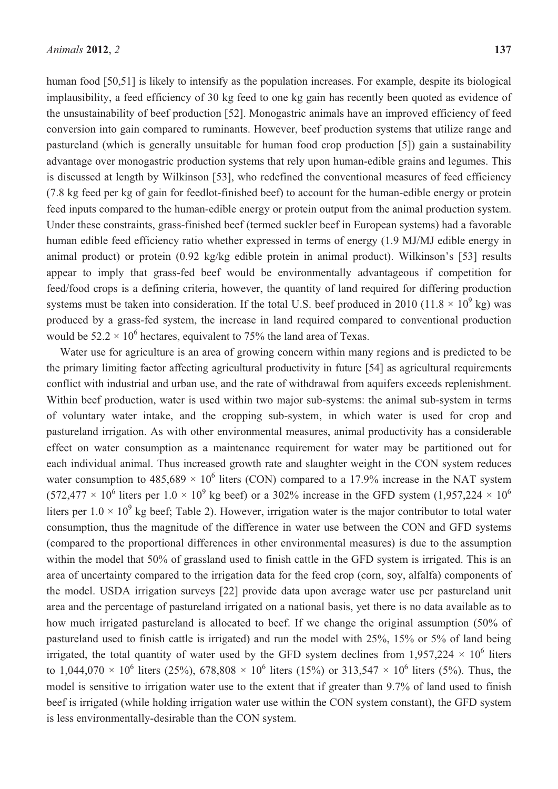human food [50,51] is likely to intensify as the population increases. For example, despite its biological implausibility, a feed efficiency of 30 kg feed to one kg gain has recently been quoted as evidence of the unsustainability of beef production [52]. Monogastric animals have an improved efficiency of feed conversion into gain compared to ruminants. However, beef production systems that utilize range and pastureland (which is generally unsuitable for human food crop production [5]) gain a sustainability advantage over monogastric production systems that rely upon human-edible grains and legumes. This is discussed at length by Wilkinson [53], who redefined the conventional measures of feed efficiency (7.8 kg feed per kg of gain for feedlot-finished beef) to account for the human-edible energy or protein feed inputs compared to the human-edible energy or protein output from the animal production system. Under these constraints, grass-finished beef (termed suckler beef in European systems) had a favorable human edible feed efficiency ratio whether expressed in terms of energy (1.9 MJ/MJ edible energy in animal product) or protein (0.92 kg/kg edible protein in animal product). Wilkinson's [53] results appear to imply that grass-fed beef would be environmentally advantageous if competition for feed/food crops is a defining criteria, however, the quantity of land required for differing production systems must be taken into consideration. If the total U.S. beef produced in 2010 (11.8  $\times$  10<sup>9</sup> kg) was produced by a grass-fed system, the increase in land required compared to conventional production would be  $52.2 \times 10^6$  hectares, equivalent to 75% the land area of Texas.

Water use for agriculture is an area of growing concern within many regions and is predicted to be the primary limiting factor affecting agricultural productivity in future [54] as agricultural requirements conflict with industrial and urban use, and the rate of withdrawal from aquifers exceeds replenishment. Within beef production, water is used within two major sub-systems: the animal sub-system in terms of voluntary water intake, and the cropping sub-system, in which water is used for crop and pastureland irrigation. As with other environmental measures, animal productivity has a considerable effect on water consumption as a maintenance requirement for water may be partitioned out for each individual animal. Thus increased growth rate and slaughter weight in the CON system reduces water consumption to  $485,689 \times 10^6$  liters (CON) compared to a 17.9% increase in the NAT system (572,477  $\times$  10<sup>6</sup> liters per 1.0  $\times$  10<sup>9</sup> kg beef) or a 302% increase in the GFD system (1,957,224  $\times$  10<sup>6</sup> liters per  $1.0 \times 10^9$  kg beef; Table 2). However, irrigation water is the major contributor to total water consumption, thus the magnitude of the difference in water use between the CON and GFD systems (compared to the proportional differences in other environmental measures) is due to the assumption within the model that 50% of grassland used to finish cattle in the GFD system is irrigated. This is an area of uncertainty compared to the irrigation data for the feed crop (corn, soy, alfalfa) components of the model. USDA irrigation surveys [22] provide data upon average water use per pastureland unit area and the percentage of pastureland irrigated on a national basis, yet there is no data available as to how much irrigated pastureland is allocated to beef. If we change the original assumption (50% of pastureland used to finish cattle is irrigated) and run the model with 25%, 15% or 5% of land being irrigated, the total quantity of water used by the GFD system declines from 1,957,224  $\times$  10<sup>6</sup> liters to 1,044,070  $\times$  10<sup>6</sup> liters (25%), 678,808  $\times$  10<sup>6</sup> liters (15%) or 313,547  $\times$  10<sup>6</sup> liters (5%). Thus, the model is sensitive to irrigation water use to the extent that if greater than 9.7% of land used to finish beef is irrigated (while holding irrigation water use within the CON system constant), the GFD system is less environmentally-desirable than the CON system.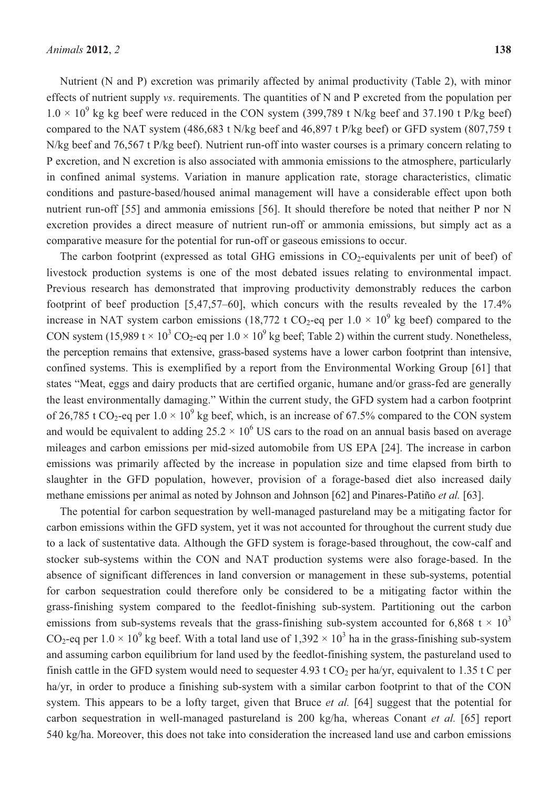Nutrient (N and P) excretion was primarily affected by animal productivity (Table 2), with minor effects of nutrient supply *vs*. requirements. The quantities of N and P excreted from the population per  $1.0 \times 10^{9}$  kg kg beef were reduced in the CON system (399,789 t N/kg beef and 37.190 t P/kg beef) compared to the NAT system (486,683 t N/kg beef and 46,897 t P/kg beef) or GFD system (807,759 t N/kg beef and 76,567 t P/kg beef). Nutrient run-off into waster courses is a primary concern relating to P excretion, and N excretion is also associated with ammonia emissions to the atmosphere, particularly in confined animal systems. Variation in manure application rate, storage characteristics, climatic conditions and pasture-based/housed animal management will have a considerable effect upon both nutrient run-off [55] and ammonia emissions [56]. It should therefore be noted that neither P nor N excretion provides a direct measure of nutrient run-off or ammonia emissions, but simply act as a comparative measure for the potential for run-off or gaseous emissions to occur.

The carbon footprint (expressed as total GHG emissions in  $CO<sub>2</sub>$ -equivalents per unit of beef) of livestock production systems is one of the most debated issues relating to environmental impact. Previous research has demonstrated that improving productivity demonstrably reduces the carbon footprint of beef production [5,47,57–60], which concurs with the results revealed by the 17.4% increase in NAT system carbon emissions (18,772 t CO<sub>2</sub>-eq per  $1.0 \times 10^9$  kg beef) compared to the CON system (15,989 t  $\times$  10<sup>3</sup> CO<sub>2</sub>-eq per 1.0  $\times$  10<sup>9</sup> kg beef; Table 2) within the current study. Nonetheless, the perception remains that extensive, grass-based systems have a lower carbon footprint than intensive, confined systems. This is exemplified by a report from the Environmental Working Group [61] that states "Meat, eggs and dairy products that are certified organic, humane and/or grass-fed are generally the least environmentally damaging." Within the current study, the GFD system had a carbon footprint of 26,785 t CO<sub>2</sub>-eq per  $1.0 \times 10^9$  kg beef, which, is an increase of 67.5% compared to the CON system and would be equivalent to adding  $25.2 \times 10^6$  US cars to the road on an annual basis based on average mileages and carbon emissions per mid-sized automobile from US EPA [24]. The increase in carbon emissions was primarily affected by the increase in population size and time elapsed from birth to slaughter in the GFD population, however, provision of a forage-based diet also increased daily methane emissions per animal as noted by Johnson and Johnson [62] and Pinares-Patiño *et al.* [63].

The potential for carbon sequestration by well-managed pastureland may be a mitigating factor for carbon emissions within the GFD system, yet it was not accounted for throughout the current study due to a lack of sustentative data. Although the GFD system is forage-based throughout, the cow-calf and stocker sub-systems within the CON and NAT production systems were also forage-based. In the absence of significant differences in land conversion or management in these sub-systems, potential for carbon sequestration could therefore only be considered to be a mitigating factor within the grass-finishing system compared to the feedlot-finishing sub-system. Partitioning out the carbon emissions from sub-systems reveals that the grass-finishing sub-system accounted for 6,868 t  $\times$  10<sup>3</sup> CO<sub>2</sub>-eq per  $1.0 \times 10^9$  kg beef. With a total land use of  $1,392 \times 10^3$  ha in the grass-finishing sub-system and assuming carbon equilibrium for land used by the feedlot-finishing system, the pastureland used to finish cattle in the GFD system would need to sequester 4.93 t  $CO<sub>2</sub>$  per ha/yr, equivalent to 1.35 t C per ha/yr, in order to produce a finishing sub-system with a similar carbon footprint to that of the CON system. This appears to be a lofty target, given that Bruce *et al.* [64] suggest that the potential for carbon sequestration in well-managed pastureland is 200 kg/ha, whereas Conant *et al.* [65] report 540 kg/ha. Moreover, this does not take into consideration the increased land use and carbon emissions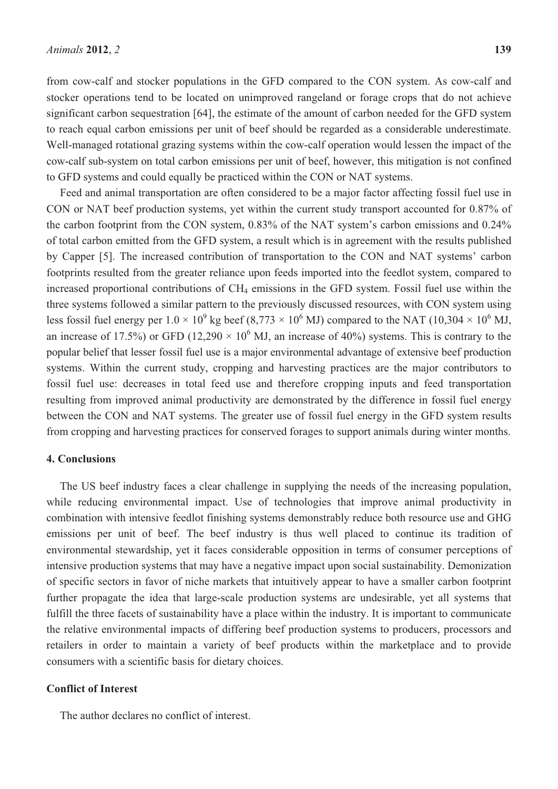from cow-calf and stocker populations in the GFD compared to the CON system. As cow-calf and stocker operations tend to be located on unimproved rangeland or forage crops that do not achieve significant carbon sequestration [64], the estimate of the amount of carbon needed for the GFD system to reach equal carbon emissions per unit of beef should be regarded as a considerable underestimate. Well-managed rotational grazing systems within the cow-calf operation would lessen the impact of the cow-calf sub-system on total carbon emissions per unit of beef, however, this mitigation is not confined to GFD systems and could equally be practiced within the CON or NAT systems.

Feed and animal transportation are often considered to be a major factor affecting fossil fuel use in CON or NAT beef production systems, yet within the current study transport accounted for 0.87% of the carbon footprint from the CON system, 0.83% of the NAT system's carbon emissions and 0.24% of total carbon emitted from the GFD system, a result which is in agreement with the results published by Capper [5]. The increased contribution of transportation to the CON and NAT systems' carbon footprints resulted from the greater reliance upon feeds imported into the feedlot system, compared to increased proportional contributions of CH<sub>4</sub> emissions in the GFD system. Fossil fuel use within the three systems followed a similar pattern to the previously discussed resources, with CON system using less fossil fuel energy per  $1.0 \times 10^9$  kg beef (8,773  $\times 10^6$  MJ) compared to the NAT (10,304  $\times 10^6$  MJ, an increase of 17.5%) or GFD (12,290  $\times$  10<sup>6</sup> MJ, an increase of 40%) systems. This is contrary to the popular belief that lesser fossil fuel use is a major environmental advantage of extensive beef production systems. Within the current study, cropping and harvesting practices are the major contributors to fossil fuel use: decreases in total feed use and therefore cropping inputs and feed transportation resulting from improved animal productivity are demonstrated by the difference in fossil fuel energy between the CON and NAT systems. The greater use of fossil fuel energy in the GFD system results from cropping and harvesting practices for conserved forages to support animals during winter months.

#### **4. Conclusions**

The US beef industry faces a clear challenge in supplying the needs of the increasing population, while reducing environmental impact. Use of technologies that improve animal productivity in combination with intensive feedlot finishing systems demonstrably reduce both resource use and GHG emissions per unit of beef. The beef industry is thus well placed to continue its tradition of environmental stewardship, yet it faces considerable opposition in terms of consumer perceptions of intensive production systems that may have a negative impact upon social sustainability. Demonization of specific sectors in favor of niche markets that intuitively appear to have a smaller carbon footprint further propagate the idea that large-scale production systems are undesirable, yet all systems that fulfill the three facets of sustainability have a place within the industry. It is important to communicate the relative environmental impacts of differing beef production systems to producers, processors and retailers in order to maintain a variety of beef products within the marketplace and to provide consumers with a scientific basis for dietary choices.

### **Conflict of Interest**

The author declares no conflict of interest.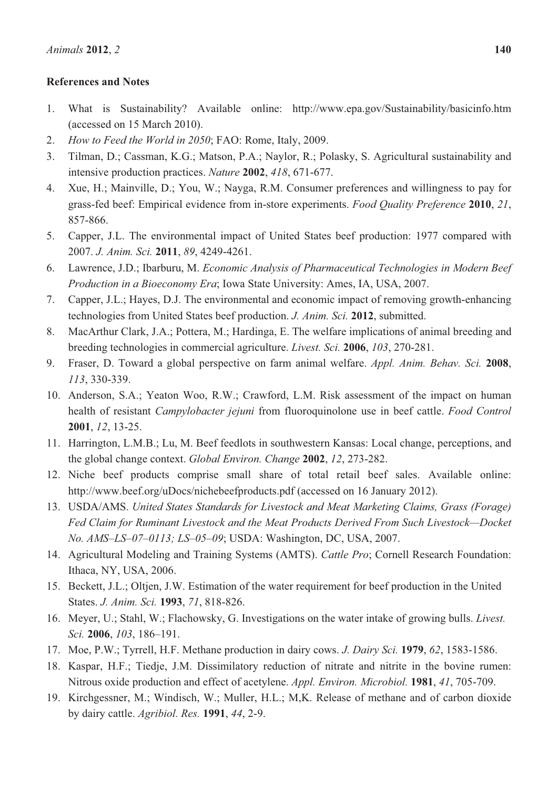# **References and Notes**

- 1. What is Sustainability? Available online: http://www.epa.gov/Sustainability/basicinfo.htm (accessed on 15 March 2010).
- 2. *How to Feed the World in 2050*; FAO: Rome, Italy, 2009.
- 3. Tilman, D.; Cassman, K.G.; Matson, P.A.; Naylor, R.; Polasky, S. Agricultural sustainability and intensive production practices. *Nature* **2002**, *418*, 671-677.
- 4. Xue, H.; Mainville, D.; You, W.; Nayga, R.M. Consumer preferences and willingness to pay for grass-fed beef: Empirical evidence from in-store experiments. *Food Quality Preference* **2010**, *21*, 857-866.
- 5. Capper, J.L. The environmental impact of United States beef production: 1977 compared with 2007. *J. Anim. Sci.* **2011**, *89*, 4249-4261.
- 6. Lawrence, J.D.; Ibarburu, M. *Economic Analysis of Pharmaceutical Technologies in Modern Beef Production in a Bioeconomy Era*; Iowa State University: Ames, IA, USA, 2007.
- 7. Capper, J.L.; Hayes, D.J. The environmental and economic impact of removing growth-enhancing technologies from United States beef production. *J. Anim. Sci.* **2012**, submitted.
- 8. MacArthur Clark, J.A.; Pottera, M.; Hardinga, E. The welfare implications of animal breeding and breeding technologies in commercial agriculture. *Livest. Sci.* **2006**, *103*, 270-281.
- 9. Fraser, D. Toward a global perspective on farm animal welfare. *Appl. Anim. Behav. Sci.* **2008**, *113*, 330-339.
- 10. Anderson, S.A.; Yeaton Woo, R.W.; Crawford, L.M. Risk assessment of the impact on human health of resistant *Campylobacter jejuni* from fluoroquinolone use in beef cattle. *Food Control*  **2001**, *12*, 13-25.
- 11. Harrington, L.M.B.; Lu, M. Beef feedlots in southwestern Kansas: Local change, perceptions, and the global change context. *Global Environ. Change* **2002**, *12*, 273-282.
- 12. Niche beef products comprise small share of total retail beef sales. Available online: http://www.beef.org/uDocs/nichebeefproducts.pdf (accessed on 16 January 2012).
- 13. USDA/AMS. *United States Standards for Livestock and Meat Marketing Claims, Grass (Forage) Fed Claim for Ruminant Livestock and the Meat Products Derived From Such Livestock—Docket No. AMS–LS–07–0113; LS–05–09*; USDA: Washington, DC, USA, 2007.
- 14. Agricultural Modeling and Training Systems (AMTS). *Cattle Pro*; Cornell Research Foundation: Ithaca, NY, USA, 2006.
- 15. Beckett, J.L.; Oltjen, J.W. Estimation of the water requirement for beef production in the United States. *J. Anim. Sci.* **1993**, *71*, 818-826.
- 16. Meyer, U.; Stahl, W.; Flachowsky, G. Investigations on the water intake of growing bulls. *Livest. Sci.* **2006**, *103*, 186–191.
- 17. Moe, P.W.; Tyrrell, H.F. Methane production in dairy cows. *J. Dairy Sci.* **1979**, *62*, 1583-1586.
- 18. Kaspar, H.F.; Tiedje, J.M. Dissimilatory reduction of nitrate and nitrite in the bovine rumen: Nitrous oxide production and effect of acetylene. *Appl. Environ. Microbiol.* **1981**, *41*, 705-709.
- 19. Kirchgessner, M.; Windisch, W.; Muller, H.L.; M,K. Release of methane and of carbon dioxide by dairy cattle. *Agribiol. Res.* **1991**, *44*, 2-9.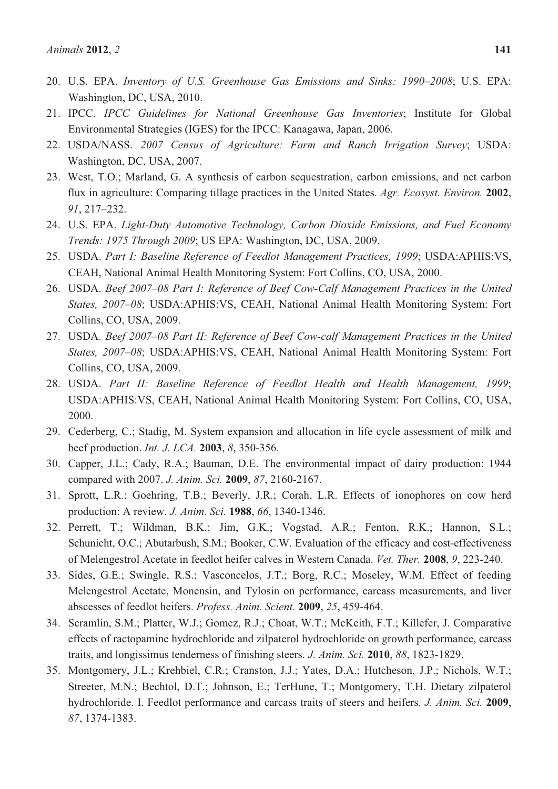- 20. U.S. EPA. *Inventory of U.S. Greenhouse Gas Emissions and Sinks: 1990–2008*; U.S. EPA: Washington, DC, USA, 2010.
- 21. IPCC. *IPCC Guidelines for National Greenhouse Gas Inventories*; Institute for Global Environmental Strategies (IGES) for the IPCC: Kanagawa, Japan, 2006.
- 22. USDA/NASS. *2007 Census of Agriculture: Farm and Ranch Irrigation Survey*; USDA: Washington, DC, USA, 2007.
- 23. West, T.O.; Marland, G. A synthesis of carbon sequestration, carbon emissions, and net carbon flux in agriculture: Comparing tillage practices in the United States. *Agr. Ecosyst. Environ.* **2002**, *91*, 217–232.
- 24. U.S. EPA. *Light-Duty Automotive Technology, Carbon Dioxide Emissions, and Fuel Economy Trends: 1975 Through 2009*; US EPA: Washington, DC, USA, 2009.
- 25. USDA. *Part I: Baseline Reference of Feedlot Management Practices, 1999*; USDA:APHIS:VS, CEAH, National Animal Health Monitoring System: Fort Collins, CO, USA, 2000.
- 26. USDA. *Beef 2007–08 Part I: Reference of Beef Cow-Calf Management Practices in the United States, 2007–08*; USDA:APHIS:VS, CEAH, National Animal Health Monitoring System: Fort Collins, CO, USA, 2009.
- 27. USDA. *Beef 2007–08 Part II: Reference of Beef Cow-calf Management Practices in the United States, 2007–08*; USDA:APHIS:VS, CEAH, National Animal Health Monitoring System: Fort Collins, CO, USA, 2009.
- 28. USDA. *Part II: Baseline Reference of Feedlot Health and Health Management, 1999*; USDA:APHIS:VS, CEAH, National Animal Health Monitoring System: Fort Collins, CO, USA, 2000.
- 29. Cederberg, C.; Stadig, M. System expansion and allocation in life cycle assessment of milk and beef production. *Int. J. LCA.* **2003**, *8*, 350-356.
- 30. Capper, J.L.; Cady, R.A.; Bauman, D.E. The environmental impact of dairy production: 1944 compared with 2007. *J. Anim. Sci.* **2009**, *87*, 2160-2167.
- 31. Sprott, L.R.; Goehring, T.B.; Beverly, J.R.; Corah, L.R. Effects of ionophores on cow herd production: A review. *J. Anim. Sci.* **1988**, *66*, 1340-1346.
- 32. Perrett, T.; Wildman, B.K.; Jim, G.K.; Vogstad, A.R.; Fenton, R.K.; Hannon, S.L.; Schunicht, O.C.; Abutarbush, S.M.; Booker, C.W. Evaluation of the efficacy and cost-effectiveness of Melengestrol Acetate in feedlot heifer calves in Western Canada. *Vet. Ther.* **2008**, *9*, 223-240.
- 33. Sides, G.E.; Swingle, R.S.; Vasconcelos, J.T.; Borg, R.C.; Moseley, W.M. Effect of feeding Melengestrol Acetate, Monensin, and Tylosin on performance, carcass measurements, and liver abscesses of feedlot heifers. *Profess. Anim. Scient.* **2009**, *25*, 459-464.
- 34. Scramlin, S.M.; Platter, W.J.; Gomez, R.J.; Choat, W.T.; McKeith, F.T.; Killefer, J. Comparative effects of ractopamine hydrochloride and zilpaterol hydrochloride on growth performance, carcass traits, and longissimus tenderness of finishing steers. *J. Anim. Sci.* **2010**, *88*, 1823-1829.
- 35. Montgomery, J.L.; Krehbiel, C.R.; Cranston, J.J.; Yates, D.A.; Hutcheson, J.P.; Nichols, W.T.; Streeter, M.N.; Bechtol, D.T.; Johnson, E.; TerHune, T.; Montgomery, T.H. Dietary zilpaterol hydrochloride. I. Feedlot performance and carcass traits of steers and heifers. *J. Anim. Sci.* **2009**, *87*, 1374-1383.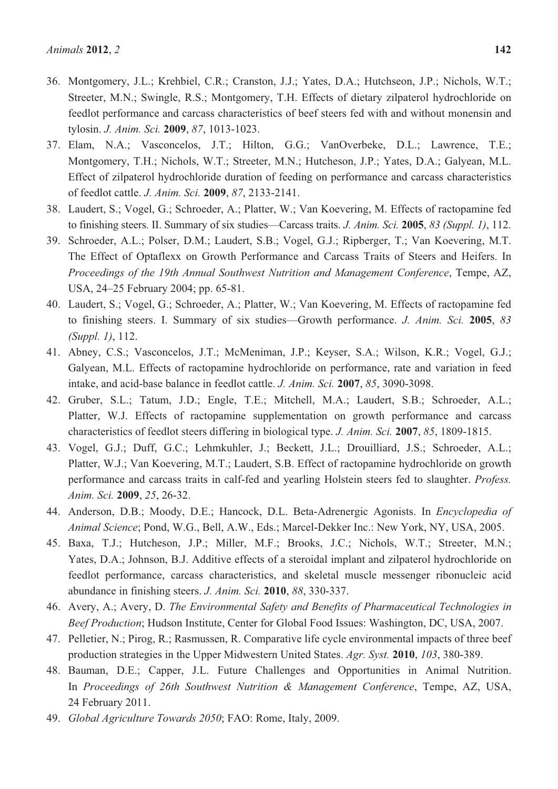- 36. Montgomery, J.L.; Krehbiel, C.R.; Cranston, J.J.; Yates, D.A.; Hutchseon, J.P.; Nichols, W.T.; Streeter, M.N.; Swingle, R.S.; Montgomery, T.H. Effects of dietary zilpaterol hydrochloride on feedlot performance and carcass characteristics of beef steers fed with and without monensin and tylosin. *J. Anim. Sci.* **2009**, *87*, 1013-1023.
- 37. Elam, N.A.; Vasconcelos, J.T.; Hilton, G.G.; VanOverbeke, D.L.; Lawrence, T.E.; Montgomery, T.H.; Nichols, W.T.; Streeter, M.N.; Hutcheson, J.P.; Yates, D.A.; Galyean, M.L. Effect of zilpaterol hydrochloride duration of feeding on performance and carcass characteristics of feedlot cattle. *J. Anim. Sci.* **2009**, *87*, 2133-2141.
- 38. Laudert, S.; Vogel, G.; Schroeder, A.; Platter, W.; Van Koevering, M. Effects of ractopamine fed to finishing steers. II. Summary of six studies—Carcass traits. *J. Anim. Sci.* **2005**, *83 (Suppl. 1)*, 112.
- 39. Schroeder, A.L.; Polser, D.M.; Laudert, S.B.; Vogel, G.J.; Ripberger, T.; Van Koevering, M.T. The Effect of Optaflexx on Growth Performance and Carcass Traits of Steers and Heifers. In *Proceedings of the 19th Annual Southwest Nutrition and Management Conference*, Tempe, AZ, USA, 24–25 February 2004; pp. 65-81.
- 40. Laudert, S.; Vogel, G.; Schroeder, A.; Platter, W.; Van Koevering, M. Effects of ractopamine fed to finishing steers. I. Summary of six studies—Growth performance. *J. Anim. Sci.* **2005**, *83 (Suppl. 1)*, 112.
- 41. Abney, C.S.; Vasconcelos, J.T.; McMeniman, J.P.; Keyser, S.A.; Wilson, K.R.; Vogel, G.J.; Galyean, M.L. Effects of ractopamine hydrochloride on performance, rate and variation in feed intake, and acid-base balance in feedlot cattle. *J. Anim. Sci.* **2007**, *85*, 3090-3098.
- 42. Gruber, S.L.; Tatum, J.D.; Engle, T.E.; Mitchell, M.A.; Laudert, S.B.; Schroeder, A.L.; Platter, W.J. Effects of ractopamine supplementation on growth performance and carcass characteristics of feedlot steers differing in biological type. *J. Anim. Sci.* **2007**, *85*, 1809-1815.
- 43. Vogel, G.J.; Duff, G.C.; Lehmkuhler, J.; Beckett, J.L.; Drouilliard, J.S.; Schroeder, A.L.; Platter, W.J.; Van Koevering, M.T.; Laudert, S.B. Effect of ractopamine hydrochloride on growth performance and carcass traits in calf-fed and yearling Holstein steers fed to slaughter. *Profess. Anim. Sci.* **2009**, *25*, 26-32.
- 44. Anderson, D.B.; Moody, D.E.; Hancock, D.L. Beta-Adrenergic Agonists. In *Encyclopedia of Animal Science*; Pond, W.G., Bell, A.W., Eds.; Marcel-Dekker Inc.: New York, NY, USA, 2005.
- 45. Baxa, T.J.; Hutcheson, J.P.; Miller, M.F.; Brooks, J.C.; Nichols, W.T.; Streeter, M.N.; Yates, D.A.; Johnson, B.J. Additive effects of a steroidal implant and zilpaterol hydrochloride on feedlot performance, carcass characteristics, and skeletal muscle messenger ribonucleic acid abundance in finishing steers. *J. Anim. Sci.* **2010**, *88*, 330-337.
- 46. Avery, A.; Avery, D. *The Environmental Safety and Benefits of Pharmaceutical Technologies in Beef Production*; Hudson Institute, Center for Global Food Issues: Washington, DC, USA, 2007.
- 47. Pelletier, N.; Pirog, R.; Rasmussen, R. Comparative life cycle environmental impacts of three beef production strategies in the Upper Midwestern United States. *Agr. Syst.* **2010**, *103*, 380-389.
- 48. Bauman, D.E.; Capper, J.L. Future Challenges and Opportunities in Animal Nutrition. In *Proceedings of 26th Southwest Nutrition & Management Conference*, Tempe, AZ, USA, 24 February 2011.
- 49. *Global Agriculture Towards 2050*; FAO: Rome, Italy, 2009.